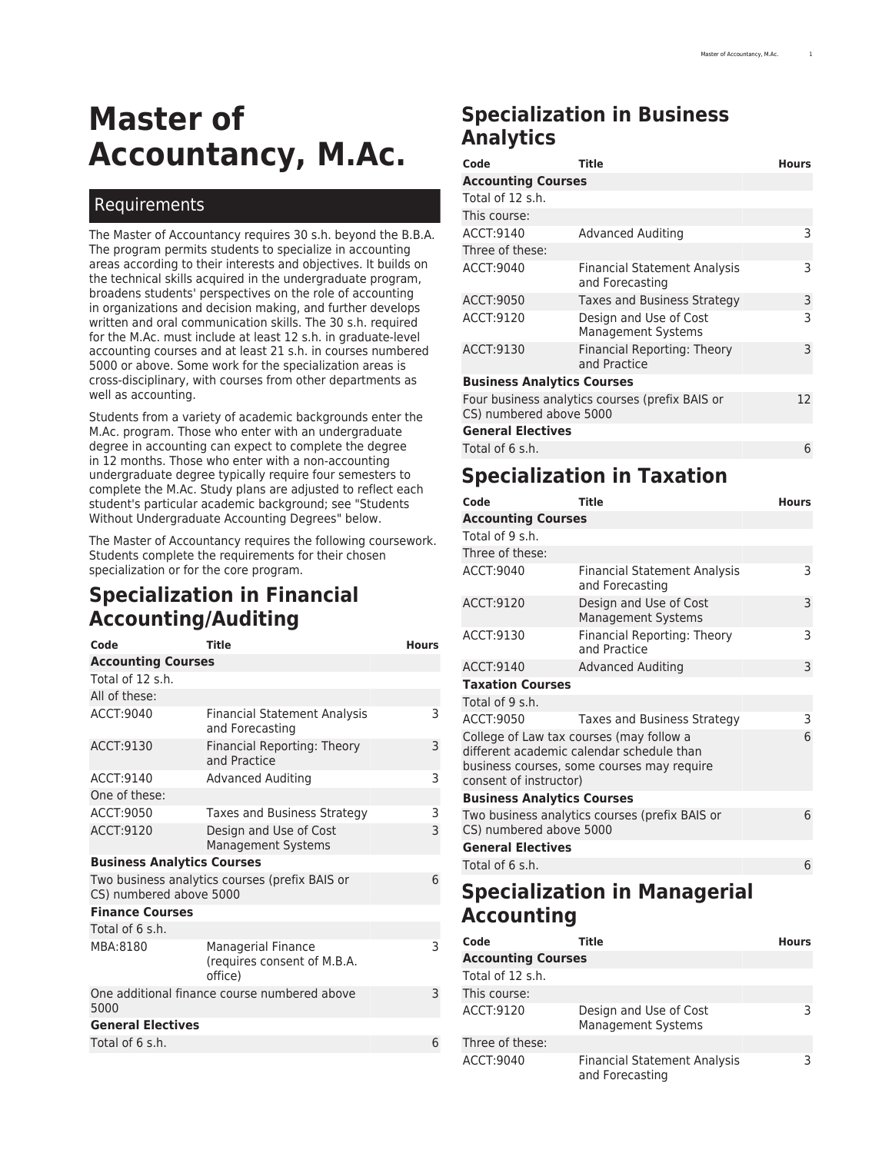# **Master of Accountancy, M.Ac.**

#### Requirements

The Master of Accountancy requires 30 s.h. beyond the B.B.A. The program permits students to specialize in accounting areas according to their interests and objectives. It builds on the technical skills acquired in the undergraduate program, broadens students' perspectives on the role of accounting in organizations and decision making, and further develops written and oral communication skills. The 30 s.h. required for the M.Ac. must include at least 12 s.h. in graduate-level accounting courses and at least 21 s.h. in courses numbered 5000 or above. Some work for the specialization areas is cross-disciplinary, with courses from other departments as well as accounting.

Students from a variety of academic backgrounds enter the M.Ac. program. Those who enter with an undergraduate degree in accounting can expect to complete the degree in 12 months. Those who enter with a non-accounting undergraduate degree typically require four semesters to complete the M.Ac. Study plans are adjusted to reflect each student's particular academic background; see "Students Without Undergraduate Accounting Degrees" below.

The Master of Accountancy requires the following coursework. Students complete the requirements for their chosen specialization or for the core program.

# **Specialization in Financial Accounting/Auditing**

| Code                              | <b>Title</b>                                                 | <b>Hours</b> |
|-----------------------------------|--------------------------------------------------------------|--------------|
| <b>Accounting Courses</b>         |                                                              |              |
| Total of 12 s.h.                  |                                                              |              |
| All of these:                     |                                                              |              |
| ACCT:9040                         | <b>Financial Statement Analysis</b><br>and Forecasting       | 3            |
| ACCT:9130                         | Financial Reporting: Theory<br>and Practice                  | 3            |
| ACCT:9140                         | <b>Advanced Auditing</b>                                     | 3            |
| One of these:                     |                                                              |              |
| ACCT:9050                         | Taxes and Business Strategy                                  | 3            |
| ACCT:9120                         | Design and Use of Cost<br><b>Management Systems</b>          | 3            |
| <b>Business Analytics Courses</b> |                                                              |              |
| CS) numbered above 5000           | Two business analytics courses (prefix BAIS or               | 6            |
| <b>Finance Courses</b>            |                                                              |              |
| Total of 6 s.h.                   |                                                              |              |
| MBA:8180                          | Managerial Finance<br>(requires consent of M.B.A.<br>office) | 3            |
| 5000                              | One additional finance course numbered above                 | 3            |
| <b>General Electives</b>          |                                                              |              |
| Total of 6 s.h.                   |                                                              | 6            |

# **Specialization in Business Analytics**

| Code                                                                       | Title                                                  | <b>Hours</b> |
|----------------------------------------------------------------------------|--------------------------------------------------------|--------------|
| <b>Accounting Courses</b>                                                  |                                                        |              |
| Total of 12 s.h.                                                           |                                                        |              |
| This course:                                                               |                                                        |              |
| ACCT:9140                                                                  | <b>Advanced Auditing</b>                               | 3            |
| Three of these:                                                            |                                                        |              |
| ACCT: 9040                                                                 | <b>Financial Statement Analysis</b><br>and Forecasting | 3            |
| ACCT: 9050                                                                 | Taxes and Business Strategy                            | 3            |
| ACCT:9120                                                                  | Design and Use of Cost<br><b>Management Systems</b>    | 3            |
| ACCT:9130                                                                  | Financial Reporting: Theory<br>and Practice            | 3            |
| <b>Business Analytics Courses</b>                                          |                                                        |              |
| Four business analytics courses (prefix BAIS or<br>CS) numbered above 5000 |                                                        | 12.          |
| <b>General Electives</b>                                                   |                                                        |              |

Total of 6 s.h. 6

# **Specialization in Taxation**

| Code                                                                                                                                                          | <b>Title</b>                                           | <b>Hours</b> |
|---------------------------------------------------------------------------------------------------------------------------------------------------------------|--------------------------------------------------------|--------------|
| <b>Accounting Courses</b>                                                                                                                                     |                                                        |              |
| Total of 9 s.h.                                                                                                                                               |                                                        |              |
| Three of these:                                                                                                                                               |                                                        |              |
| ACCT: 9040                                                                                                                                                    | <b>Financial Statement Analysis</b><br>and Forecasting | 3            |
| ACCT:9120                                                                                                                                                     | Design and Use of Cost<br><b>Management Systems</b>    | 3            |
| ACCT:9130                                                                                                                                                     | Financial Reporting: Theory<br>and Practice            | 3            |
| ACCT:9140                                                                                                                                                     | <b>Advanced Auditing</b>                               | 3            |
| <b>Taxation Courses</b>                                                                                                                                       |                                                        |              |
| Total of 9 s.h.                                                                                                                                               |                                                        |              |
| ACCT: 9050                                                                                                                                                    | Taxes and Business Strategy                            | 3            |
| College of Law tax courses (may follow a<br>different academic calendar schedule than<br>business courses, some courses may require<br>consent of instructor) |                                                        | 6            |
| <b>Business Analytics Courses</b>                                                                                                                             |                                                        |              |
| CS) numbered above 5000                                                                                                                                       | Two business analytics courses (prefix BAIS or         | 6            |
| <b>General Electives</b>                                                                                                                                      |                                                        |              |
| Total of 6 s.h.                                                                                                                                               |                                                        | 6            |

# **Specialization in Managerial Accounting**

| Code                      | Title                                                  | <b>Hours</b> |
|---------------------------|--------------------------------------------------------|--------------|
| <b>Accounting Courses</b> |                                                        |              |
| Total of 12 s.h.          |                                                        |              |
| This course:              |                                                        |              |
| ACCT:9120                 | Design and Use of Cost<br><b>Management Systems</b>    | ٦            |
| Three of these:           |                                                        |              |
| ACCT: 9040                | <b>Financial Statement Analysis</b><br>and Forecasting | ς            |